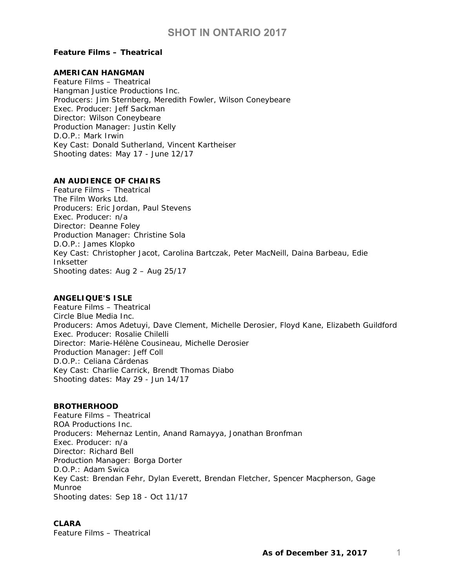### *Feature Films – Theatrical*

## **AMERICAN HANGMAN**

Feature Films – Theatrical Hangman Justice Productions Inc. Producers: Jim Sternberg, Meredith Fowler, Wilson Coneybeare Exec. Producer: Jeff Sackman Director: Wilson Coneybeare Production Manager: Justin Kelly D.O.P.: Mark Irwin Key Cast: Donald Sutherland, Vincent Kartheiser Shooting dates: May 17 - June 12/17

### **AN AUDIENCE OF CHAIRS**

Feature Films – Theatrical The Film Works Ltd. Producers: Eric Jordan, Paul Stevens Exec. Producer: n/a Director: Deanne Foley Production Manager: Christine Sola D.O.P.: James Klopko Key Cast: Christopher Jacot, Carolina Bartczak, Peter MacNeill, Daina Barbeau, Edie Inksetter Shooting dates: Aug 2 – Aug 25/17

### **ANGELIQUE'S ISLE**

Feature Films – Theatrical Circle Blue Media Inc. Producers: Amos Adetuyi, Dave Clement, Michelle Derosier, Floyd Kane, Elizabeth Guildford Exec. Producer: Rosalie Chilelli Director: Marie-Hélène Cousineau, Michelle Derosier Production Manager: Jeff Coll D.O.P.: Celiana Cárdenas Key Cast: Charlie Carrick, Brendt Thomas Diabo Shooting dates: May 29 - Jun 14/17

#### **BROTHERHOOD**

Feature Films – Theatrical ROA Productions Inc. Producers: Mehernaz Lentin, Anand Ramayya, Jonathan Bronfman Exec. Producer: n/a Director: Richard Bell Production Manager: Borga Dorter D.O.P.: Adam Swica Key Cast: Brendan Fehr, Dylan Everett, Brendan Fletcher, Spencer Macpherson, Gage Munroe Shooting dates: Sep 18 - Oct 11/17

## **CLARA**

Feature Films – Theatrical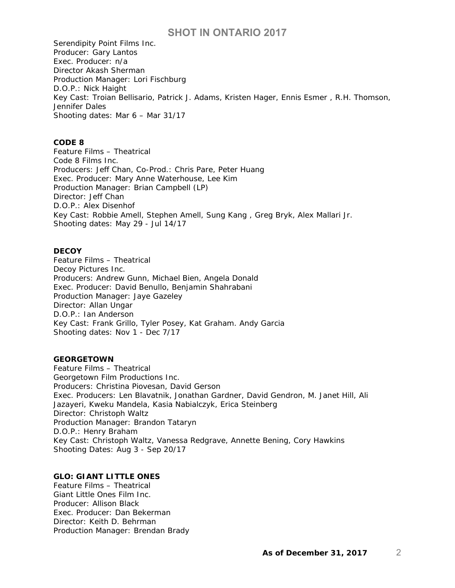Serendipity Point Films Inc. Producer: Gary Lantos Exec. Producer: n/a Director Akash Sherman Production Manager: Lori Fischburg D.O.P.: Nick Haight Key Cast: Troian Bellisario, Patrick J. Adams, Kristen Hager, Ennis Esmer , R.H. Thomson, Jennifer Dales Shooting dates: Mar 6 – Mar 31/17

## **CODE 8**

Feature Films – Theatrical Code 8 Films Inc. Producers: Jeff Chan, Co-Prod.: Chris Pare, Peter Huang Exec. Producer: Mary Anne Waterhouse, Lee Kim Production Manager: Brian Campbell (LP) Director: Jeff Chan D.O.P.: Alex Disenhof Key Cast: Robbie Amell, Stephen Amell, Sung Kang , Greg Bryk, Alex Mallari Jr. Shooting dates: May 29 - Jul 14/17

#### **DECOY**

Feature Films – Theatrical Decoy Pictures Inc. Producers: Andrew Gunn, Michael Bien, Angela Donald Exec. Producer: David Benullo, Benjamin Shahrabani Production Manager: Jaye Gazeley Director: Allan Ungar D.O.P.: Ian Anderson Key Cast: Frank Grillo, Tyler Posey, Kat Graham. Andy Garcia Shooting dates: Nov 1 - Dec 7/17

#### **GEORGETOWN**

Feature Films – Theatrical Georgetown Film Productions Inc. Producers: Christina Piovesan, David Gerson Exec. Producers: Len Blavatnik, Jonathan Gardner, David Gendron, M. Janet Hill, Ali Jazayeri, Kweku Mandela, Kasia Nabialczyk, Erica Steinberg Director: Christoph Waltz Production Manager: Brandon Tataryn D.O.P.: Henry Braham Key Cast: Christoph Waltz, Vanessa Redgrave, Annette Bening, Cory Hawkins Shooting Dates: Aug 3 - Sep 20/17

### **GLO: GIANT LITTLE ONES**

Feature Films – Theatrical Giant Little Ones Film Inc. Producer: Allison Black Exec. Producer: Dan Bekerman Director: Keith D. Behrman Production Manager: Brendan Brady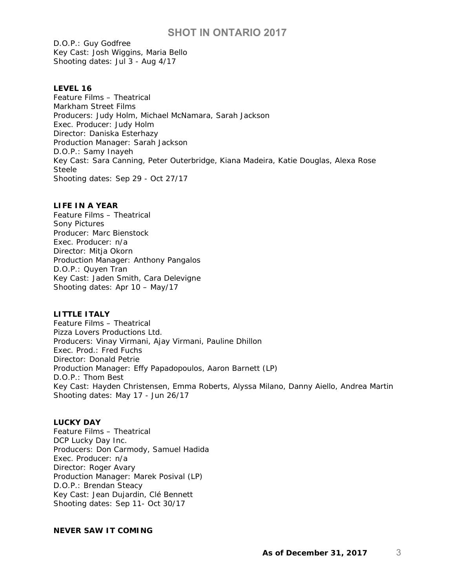D.O.P.: Guy Godfree Key Cast: Josh Wiggins, Maria Bello Shooting dates: Jul 3 - Aug 4/17

### **LEVEL 16**

Feature Films – Theatrical Markham Street Films Producers: Judy Holm, Michael McNamara, Sarah Jackson Exec. Producer: Judy Holm Director: Daniska Esterhazy Production Manager: Sarah Jackson D.O.P.: Samy Inayeh Key Cast: Sara Canning, Peter Outerbridge, Kiana Madeira, Katie Douglas, Alexa Rose Steele Shooting dates: Sep 29 - Oct 27/17

## **LIFE IN A YEAR**

Feature Films – Theatrical Sony Pictures Producer: Marc Bienstock Exec. Producer: n/a Director: Mitja Okorn Production Manager: Anthony Pangalos D.O.P.: Quyen Tran Key Cast: Jaden Smith, Cara Delevigne Shooting dates: Apr 10 – May/17

## **LITTLE ITALY**

Feature Films – Theatrical Pizza Lovers Productions Ltd. Producers: Vinay Virmani, Ajay Virmani, Pauline Dhillon Exec. Prod.: Fred Fuchs Director: Donald Petrie Production Manager: Effy Papadopoulos, Aaron Barnett (LP) D.O.P.: Thom Best Key Cast: Hayden Christensen, Emma Roberts, Alyssa Milano, Danny Aiello, Andrea Martin Shooting dates: May 17 - Jun 26/17

## **LUCKY DAY**

Feature Films – Theatrical DCP Lucky Day Inc. Producers: Don Carmody, Samuel Hadida Exec. Producer: n/a Director: Roger Avary Production Manager: Marek Posival (LP) D.O.P.: Brendan Steacy Key Cast: Jean Dujardin, Clé Bennett Shooting dates: Sep 11- Oct 30/17

## **NEVER SAW IT COMING**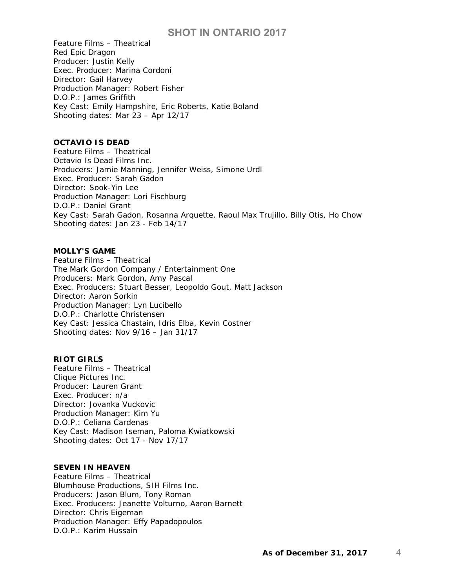Feature Films – Theatrical Red Epic Dragon Producer: Justin Kelly Exec. Producer: Marina Cordoni Director: Gail Harvey Production Manager: Robert Fisher D.O.P.: James Griffith Key Cast: Emily Hampshire, Eric Roberts, Katie Boland Shooting dates: Mar 23 – Apr 12/17

## **OCTAVIO IS DEAD**

Feature Films – Theatrical Octavio Is Dead Films Inc. Producers: Jamie Manning, Jennifer Weiss, Simone Urdl Exec. Producer: Sarah Gadon Director: Sook-Yin Lee Production Manager: Lori Fischburg D.O.P.: Daniel Grant Key Cast: Sarah Gadon, Rosanna Arquette, Raoul Max Trujillo, Billy Otis, Ho Chow Shooting dates: Jan 23 - Feb 14/17

#### **MOLLY'S GAME**

Feature Films – Theatrical The Mark Gordon Company / Entertainment One Producers: Mark Gordon, Amy Pascal Exec. Producers: Stuart Besser, Leopoldo Gout, Matt Jackson Director: Aaron Sorkin Production Manager: Lyn Lucibello D.O.P.: Charlotte Christensen Key Cast: Jessica Chastain, Idris Elba, Kevin Costner Shooting dates: Nov 9/16 – Jan 31/17

## **RIOT GIRLS**

Feature Films – Theatrical Clique Pictures Inc. Producer: Lauren Grant Exec. Producer: n/a Director: Jovanka Vuckovic Production Manager: Kim Yu D.O.P.: Celiana Cardenas Key Cast: Madison Iseman, Paloma Kwiatkowski Shooting dates: Oct 17 - Nov 17/17

## **SEVEN IN HEAVEN**

Feature Films – Theatrical Blumhouse Productions, SIH Films Inc. Producers: Jason Blum, Tony Roman Exec. Producers: Jeanette Volturno, Aaron Barnett Director: Chris Eigeman Production Manager: Effy Papadopoulos D.O.P.: Karim Hussain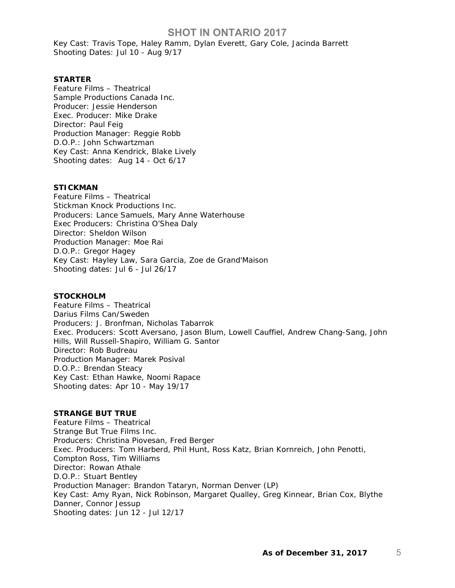Key Cast: Travis Tope, Haley Ramm, Dylan Everett, Gary Cole, Jacinda Barrett Shooting Dates: Jul 10 - Aug 9/17

#### **STARTER**

Feature Films – Theatrical Sample Productions Canada Inc. Producer: Jessie Henderson Exec. Producer: Mike Drake Director: Paul Feig Production Manager: Reggie Robb D.O.P.: John Schwartzman Key Cast: Anna Kendrick, Blake Lively Shooting dates: Aug 14 - Oct 6/17

## **STICKMAN**

Feature Films – Theatrical Stickman Knock Productions Inc. Producers: Lance Samuels, Mary Anne Waterhouse Exec Producers: Christina O'Shea Daly Director: Sheldon Wilson Production Manager: Moe Rai D.O.P.: Gregor Hagey Key Cast: Hayley Law, Sara Garcia, Zoe de Grand'Maison Shooting dates: Jul 6 - Jul 26/17

#### **STOCKHOLM**

Feature Films – Theatrical Darius Films Can/Sweden Producers: J. Bronfman, Nicholas Tabarrok Exec. Producers: Scott Aversano, Jason Blum, Lowell Cauffiel, Andrew Chang-Sang, John Hills, Will Russell-Shapiro, William G. Santor Director: Rob Budreau Production Manager: Marek Posival D.O.P.: Brendan Steacy Key Cast: Ethan Hawke, Noomi Rapace Shooting dates: Apr 10 - May 19/17

#### **STRANGE BUT TRUE**

Feature Films – Theatrical Strange But True Films Inc. Producers: Christina Piovesan, Fred Berger Exec. Producers: Tom Harberd, Phil Hunt, Ross Katz, Brian Kornreich, John Penotti, Compton Ross, Tim Williams Director: Rowan Athale D.O.P.: Stuart Bentley Production Manager: Brandon Tataryn, Norman Denver (LP) Key Cast: Amy Ryan, Nick Robinson, Margaret Qualley, Greg Kinnear, Brian Cox, Blythe Danner, Connor Jessup Shooting dates: Jun 12 - Jul 12/17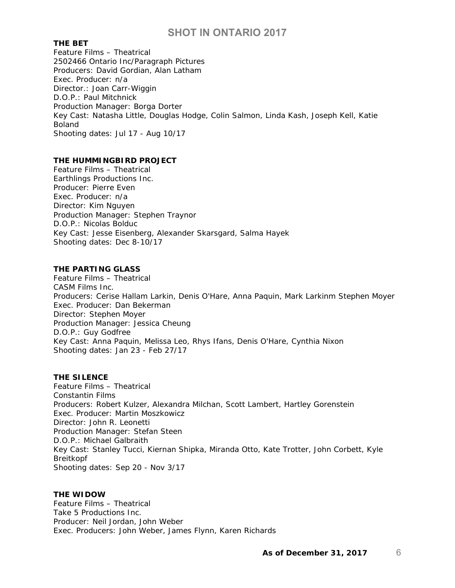#### **THE BET**

Feature Films – Theatrical 2502466 Ontario Inc/Paragraph Pictures Producers: David Gordian, Alan Latham Exec. Producer: n/a Director.: Joan Carr-Wiggin D.O.P.: Paul Mitchnick Production Manager: Borga Dorter Key Cast: Natasha Little, Douglas Hodge, Colin Salmon, Linda Kash, Joseph Kell, Katie Boland Shooting dates: Jul 17 - Aug 10/17

### **THE HUMMINGBIRD PROJECT**

Feature Films – Theatrical Earthlings Productions Inc. Producer: Pierre Even Exec. Producer: n/a Director: Kim Nguyen Production Manager: Stephen Traynor D.O.P.: Nicolas Bolduc Key Cast: Jesse Eisenberg, Alexander Skarsgard, Salma Hayek Shooting dates: Dec 8-10/17

## **THE PARTING GLASS**

Feature Films – Theatrical CASM Films Inc. Producers: Cerise Hallam Larkin, Denis O'Hare, Anna Paquin, Mark Larkinm Stephen Moyer Exec. Producer: Dan Bekerman Director: Stephen Moyer Production Manager: Jessica Cheung D.O.P.: Guy Godfree Key Cast: Anna Paquin, Melissa Leo, Rhys Ifans, Denis O'Hare, Cynthia Nixon Shooting dates: Jan 23 - Feb 27/17

#### **THE SILENCE**

Feature Films – Theatrical Constantin Films Producers: Robert Kulzer, Alexandra Milchan, Scott Lambert, Hartley Gorenstein Exec. Producer: Martin Moszkowicz Director: John R. Leonetti Production Manager: Stefan Steen D.O.P.: Michael Galbraith Key Cast: Stanley Tucci, Kiernan Shipka, Miranda Otto, Kate Trotter, John Corbett, Kyle Breitkopf Shooting dates: Sep 20 - Nov 3/17

#### **THE WIDOW**

Feature Films – Theatrical Take 5 Productions Inc. Producer: Neil Jordan, John Weber Exec. Producers: John Weber, James Flynn, Karen Richards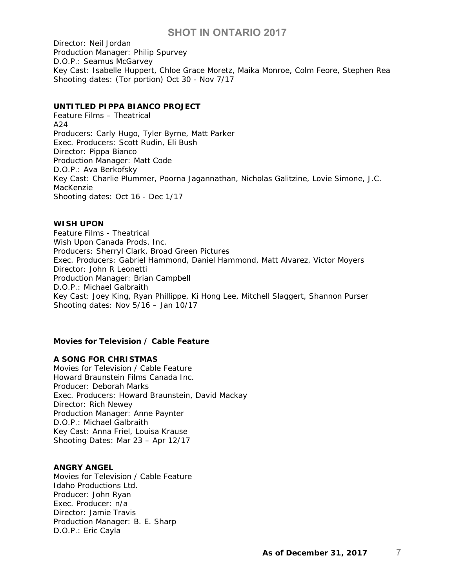Director: Neil Jordan Production Manager: Philip Spurvey D.O.P.: Seamus McGarvey Key Cast: Isabelle Huppert, Chloe Grace Moretz, Maika Monroe, Colm Feore, Stephen Rea Shooting dates: (Tor portion) Oct 30 - Nov 7/17

### **UNTITLED PIPPA BIANCO PROJECT**

Feature Films – Theatrical A24 Producers: Carly Hugo, Tyler Byrne, Matt Parker Exec. Producers: Scott Rudin, Eli Bush Director: Pippa Bianco Production Manager: Matt Code D.O.P.: Ava Berkofsky Key Cast: Charlie Plummer, Poorna Jagannathan, Nicholas Galitzine, Lovie Simone, J.C. MacKenzie Shooting dates: Oct 16 - Dec 1/17

#### **WISH UPON**

Feature Films - Theatrical Wish Upon Canada Prods. Inc. Producers: Sherryl Clark, Broad Green Pictures Exec. Producers: Gabriel Hammond, Daniel Hammond, Matt Alvarez, Victor Moyers Director: John R Leonetti Production Manager: Brian Campbell D.O.P.: Michael Galbraith Key Cast: Joey King, Ryan Phillippe, Ki Hong Lee, Mitchell Slaggert, Shannon Purser Shooting dates: Nov 5/16 – Jan 10/17

### *Movies for Television / Cable Feature*

### **A SONG FOR CHRISTMAS**

Movies for Television / Cable Feature Howard Braunstein Films Canada Inc. Producer: Deborah Marks Exec. Producers: Howard Braunstein, David Mackay Director: Rich Newey Production Manager: Anne Paynter D.O.P.: Michael Galbraith Key Cast: Anna Friel, Louisa Krause Shooting Dates: Mar 23 – Apr 12/17

#### **ANGRY ANGEL**

Movies for Television / Cable Feature Idaho Productions Ltd. Producer: John Ryan Exec. Producer: n/a Director: Jamie Travis Production Manager: B. E. Sharp D.O.P.: Eric Cayla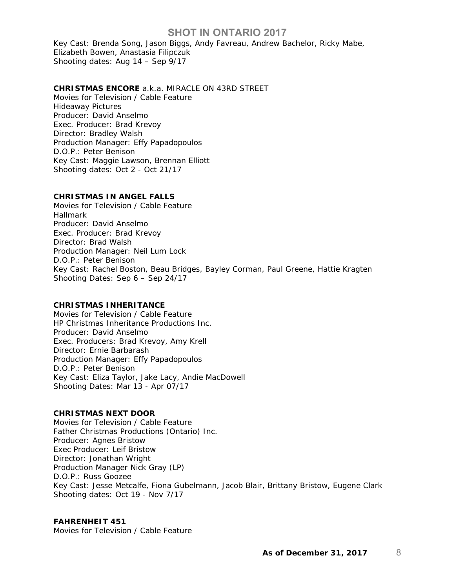Key Cast: Brenda Song, Jason Biggs, Andy Favreau, Andrew Bachelor, Ricky Mabe, Elizabeth Bowen, Anastasia Filipczuk Shooting dates: Aug 14 – Sep 9/17

#### **CHRISTMAS ENCORE** a.k.a. MIRACLE ON 43RD STREET

Movies for Television / Cable Feature Hideaway Pictures Producer: David Anselmo Exec. Producer: Brad Krevoy Director: Bradley Walsh Production Manager: Effy Papadopoulos D.O.P.: Peter Benison Key Cast: Maggie Lawson, Brennan Elliott Shooting dates: Oct 2 - Oct 21/17

#### **CHRISTMAS IN ANGEL FALLS**

Movies for Television / Cable Feature Hallmark Producer: David Anselmo Exec. Producer: Brad Krevoy Director: Brad Walsh Production Manager: Neil Lum Lock D.O.P.: Peter Benison Key Cast: Rachel Boston, Beau Bridges, Bayley Corman, Paul Greene, Hattie Kragten Shooting Dates: Sep 6 – Sep 24/17

#### **CHRISTMAS INHERITANCE**

Movies for Television / Cable Feature HP Christmas Inheritance Productions Inc. Producer: David Anselmo Exec. Producers: Brad Krevoy, Amy Krell Director: Ernie Barbarash Production Manager: Effy Papadopoulos D.O.P.: Peter Benison Key Cast: Eliza Taylor, Jake Lacy, Andie MacDowell Shooting Dates: Mar 13 - Apr 07/17

## **CHRISTMAS NEXT DOOR**

Movies for Television / Cable Feature Father Christmas Productions (Ontario) Inc. Producer: Agnes Bristow Exec Producer: Leif Bristow Director: Jonathan Wright Production Manager Nick Gray (LP) D.O.P.: Russ Goozee Key Cast: Jesse Metcalfe, Fiona Gubelmann, Jacob Blair, Brittany Bristow, Eugene Clark Shooting dates: Oct 19 - Nov 7/17

### **FAHRENHEIT 451**

Movies for Television / Cable Feature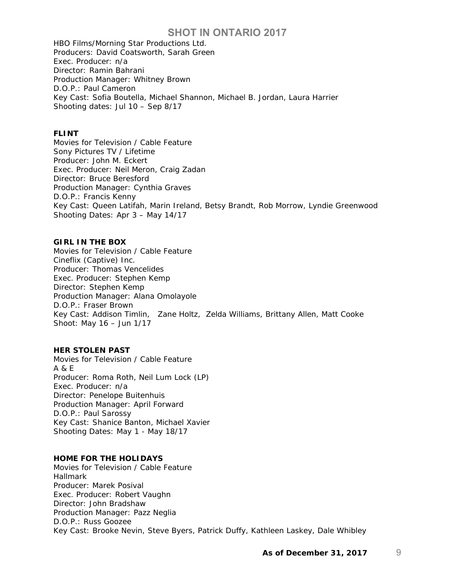HBO Films/Morning Star Productions Ltd. Producers: David Coatsworth, Sarah Green Exec. Producer: n/a Director: Ramin Bahrani Production Manager: Whitney Brown D.O.P.: Paul Cameron Key Cast: Sofia Boutella, Michael Shannon, Michael B. Jordan, Laura Harrier Shooting dates: Jul 10 – Sep 8/17

#### **FLINT**

Movies for Television / Cable Feature Sony Pictures TV / Lifetime Producer: John M. Eckert Exec. Producer: Neil Meron, Craig Zadan Director: Bruce Beresford Production Manager: Cynthia Graves D.O.P.: Francis Kenny Key Cast: Queen Latifah, Marin Ireland, Betsy Brandt, Rob Morrow, Lyndie Greenwood Shooting Dates: Apr 3 – May 14/17

#### **GIRL IN THE BOX**

Movies for Television / Cable Feature Cineflix (Captive) Inc. Producer: Thomas Vencelides Exec. Producer: Stephen Kemp Director: Stephen Kemp Production Manager: Alana Omolayole D.O.P.: Fraser Brown Key Cast: Addison Timlin, Zane Holtz, Zelda Williams, Brittany Allen, Matt Cooke Shoot: May 16 – Jun 1/17

### **HER STOLEN PAST**

Movies for Television / Cable Feature A & E Producer: Roma Roth, Neil Lum Lock (LP) Exec. Producer: n/a Director: Penelope Buitenhuis Production Manager: April Forward D.O.P.: Paul Sarossy Key Cast: Shanice Banton, Michael Xavier Shooting Dates: May 1 - May 18/17

#### **HOME FOR THE HOLIDAYS**

Movies for Television / Cable Feature Hallmark Producer: Marek Posival Exec. Producer: Robert Vaughn Director: John Bradshaw Production Manager: Pazz Neglia D.O.P.: Russ Goozee Key Cast: Brooke Nevin, Steve Byers, Patrick Duffy, Kathleen Laskey, Dale Whibley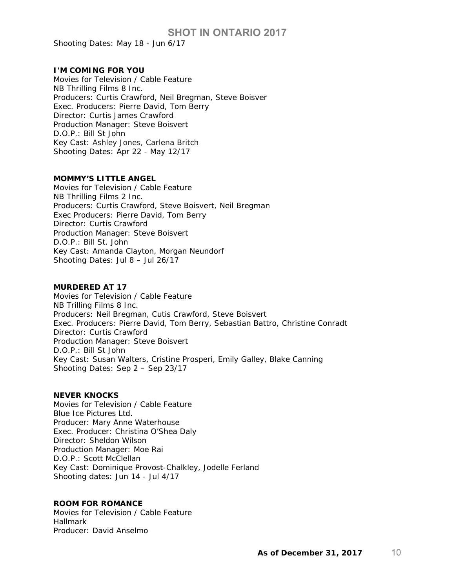Shooting Dates: May 18 - Jun 6/17

#### **I'M COMING FOR YOU**

Movies for Television / Cable Feature NB Thrilling Films 8 Inc. Producers: Curtis Crawford, Neil Bregman, Steve Boisver Exec. Producers: Pierre David, Tom Berry Director: Curtis James Crawford Production Manager: Steve Boisvert D.O.P.: Bill St John Key Cast: Ashley Jones, Carlena Britch Shooting Dates: Apr 22 - May 12/17

#### **MOMMY'S LITTLE ANGEL**

Movies for Television / Cable Feature NB Thrilling Films 2 Inc. Producers: Curtis Crawford, Steve Boisvert, Neil Bregman Exec Producers: Pierre David, Tom Berry Director: Curtis Crawford Production Manager: Steve Boisvert D.O.P.: Bill St. John Key Cast: Amanda Clayton, Morgan Neundorf Shooting Dates: Jul 8 – Jul 26/17

#### **MURDERED AT 17**

Movies for Television / Cable Feature NB Trilling Films 8 Inc. Producers: Neil Bregman, Cutis Crawford, Steve Boisvert Exec. Producers: Pierre David, Tom Berry, Sebastian Battro, Christine Conradt Director: Curtis Crawford Production Manager: Steve Boisvert D.O.P.: Bill St John Key Cast: Susan Walters, Cristine Prosperi, Emily Galley, Blake Canning Shooting Dates: Sep 2 – Sep 23/17

#### **NEVER KNOCKS**

Movies for Television / Cable Feature Blue Ice Pictures Ltd. Producer: Mary Anne Waterhouse Exec. Producer: Christina O'Shea Daly Director: Sheldon Wilson Production Manager: Moe Rai D.O.P.: Scott McClellan Key Cast: Dominique Provost-Chalkley, Jodelle Ferland Shooting dates: Jun 14 - Jul 4/17

#### **ROOM FOR ROMANCE**

Movies for Television / Cable Feature Hallmark Producer: David Anselmo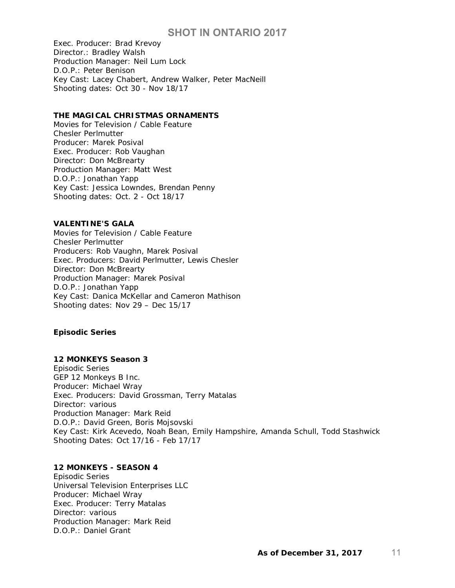Exec. Producer: Brad Krevoy Director.: Bradley Walsh Production Manager: Neil Lum Lock D.O.P.: Peter Benison Key Cast: Lacey Chabert, Andrew Walker, Peter MacNeill Shooting dates: Oct 30 - Nov 18/17

## **THE MAGICAL CHRISTMAS ORNAMENTS**

Movies for Television / Cable Feature Chesler Perlmutter Producer: Marek Posival Exec. Producer: Rob Vaughan Director: Don McBrearty Production Manager: Matt West D.O.P.: Jonathan Yapp Key Cast: Jessica Lowndes, Brendan Penny Shooting dates: Oct. 2 - Oct 18/17

#### **VALENTINE'S GALA**

Movies for Television / Cable Feature Chesler Perlmutter Producers: Rob Vaughn, Marek Posival Exec. Producers: David Perlmutter, Lewis Chesler Director: Don McBrearty Production Manager: Marek Posival D.O.P.: Jonathan Yapp Key Cast: Danica McKellar and Cameron Mathison Shooting dates: Nov 29 – Dec 15/17

### *Episodic Series*

## **12 MONKEYS Season 3**

Episodic Series GEP 12 Monkeys B Inc. Producer: Michael Wray Exec. Producers: David Grossman, Terry Matalas Director: various Production Manager: Mark Reid D.O.P.: David Green, Boris Mojsovski Key Cast: Kirk Acevedo, Noah Bean, Emily Hampshire, Amanda Schull, Todd Stashwick Shooting Dates: Oct 17/16 - Feb 17/17

## **12 MONKEYS - SEASON 4**

Episodic Series Universal Television Enterprises LLC Producer: Michael Wray Exec. Producer: Terry Matalas Director: various Production Manager: Mark Reid D.O.P.: Daniel Grant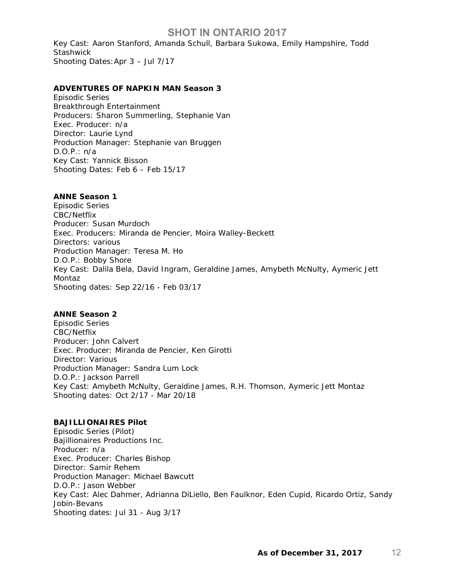Key Cast: Aaron Stanford, Amanda Schull, Barbara Sukowa, Emily Hampshire, Todd **Stashwick** Shooting Dates:Apr 3 – Jul 7/17

#### **ADVENTURES OF NAPKIN MAN Season 3**

Episodic Series Breakthrough Entertainment Producers: Sharon Summerling, Stephanie Van Exec. Producer: n/a Director: Laurie Lynd Production Manager: Stephanie van Bruggen D.O.P.: n/a Key Cast: Yannick Bisson Shooting Dates: Feb 6 – Feb 15/17

#### **ANNE Season 1**

Episodic Series CBC/Netflix Producer: Susan Murdoch Exec. Producers: Miranda de Pencier, Moira Walley-Beckett Directors: various Production Manager: Teresa M. Ho D.O.P.: Bobby Shore Key Cast: Dalila Bela, David Ingram, Geraldine James, Amybeth McNulty, Aymeric Jett Montaz Shooting dates: Sep 22/16 - Feb 03/17

## **ANNE Season 2**

Episodic Series CBC/Netflix Producer: John Calvert Exec. Producer: Miranda de Pencier, Ken Girotti Director: Various Production Manager: Sandra Lum Lock D.O.P.: Jackson Parrell Key Cast: Amybeth McNulty, Geraldine James, R.H. Thomson, Aymeric Jett Montaz Shooting dates: Oct 2/17 - Mar 20/18

#### **BAJILLIONAIRES Pilot**

Episodic Series (Pilot) Bajillionaires Productions Inc. Producer: n/a Exec. Producer: Charles Bishop Director: Samir Rehem Production Manager: Michael Bawcutt D.O.P.: Jason Webber Key Cast: Alec Dahmer, Adrianna DiLiello, Ben Faulknor, Eden Cupid, Ricardo Ortiz, Sandy Jobin-Bevans Shooting dates: Jul 31 - Aug 3/17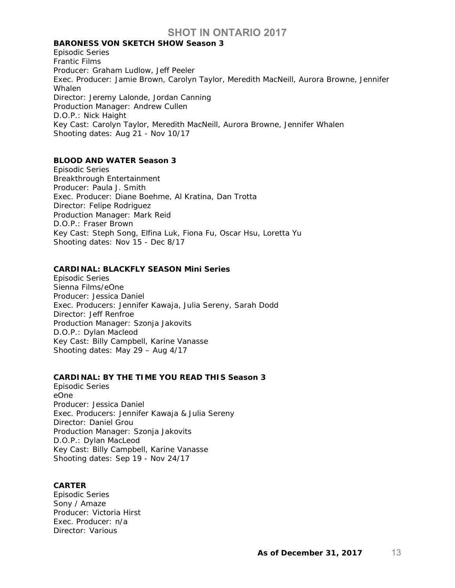## **BARONESS VON SKETCH SHOW Season 3**

Episodic Series Frantic Films Producer: Graham Ludlow, Jeff Peeler Exec. Producer: Jamie Brown, Carolyn Taylor, Meredith MacNeill, Aurora Browne, Jennifer **Whalen** Director: Jeremy Lalonde, Jordan Canning Production Manager: Andrew Cullen D.O.P.: Nick Haight Key Cast: Carolyn Taylor, Meredith MacNeill, Aurora Browne, Jennifer Whalen Shooting dates: Aug 21 - Nov 10/17

## **BLOOD AND WATER Season 3**

Episodic Series Breakthrough Entertainment Producer: Paula J. Smith Exec. Producer: Diane Boehme, Al Kratina, Dan Trotta Director: Felipe Rodriguez Production Manager: Mark Reid D.O.P.: Fraser Brown Key Cast: Steph Song, Elfina Luk, Fiona Fu, Oscar Hsu, Loretta Yu Shooting dates: Nov 15 - Dec 8/17

### **CARDINAL: BLACKFLY SEASON Mini Series**

Episodic Series Sienna Films/eOne Producer: Jessica Daniel Exec. Producers: Jennifer Kawaja, Julia Sereny, Sarah Dodd Director: Jeff Renfroe Production Manager: Szonja Jakovits D.O.P.: Dylan Macleod Key Cast: Billy Campbell, Karine Vanasse Shooting dates: May 29 – Aug 4/17

## **CARDINAL: BY THE TIME YOU READ THIS Season 3**

Episodic Series eOne Producer: Jessica Daniel Exec. Producers: Jennifer Kawaja & Julia Sereny Director: Daniel Grou Production Manager: Szonja Jakovits D.O.P.: Dylan MacLeod Key Cast: Billy Campbell, Karine Vanasse Shooting dates: Sep 19 - Nov 24/17

#### **CARTER**

Episodic Series Sony / Amaze Producer: Victoria Hirst Exec. Producer: n/a Director: Various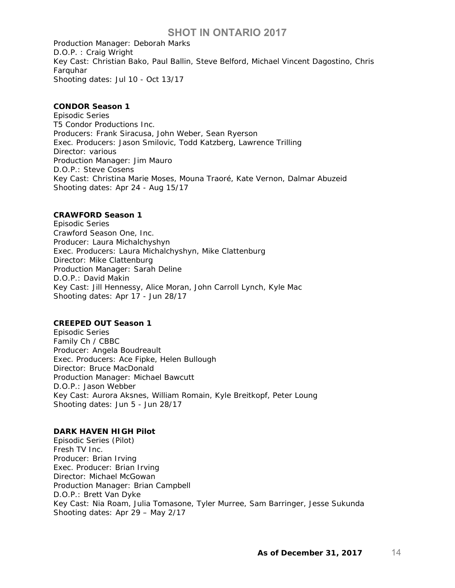Production Manager: Deborah Marks D.O.P. : Craig Wright Key Cast: Christian Bako, Paul Ballin, Steve Belford, Michael Vincent Dagostino, Chris Farquhar Shooting dates: Jul 10 - Oct 13/17

## **CONDOR Season 1**

Episodic Series T5 Condor Productions Inc. Producers: Frank Siracusa, John Weber, Sean Ryerson Exec. Producers: Jason Smilovic, Todd Katzberg, Lawrence Trilling Director: various Production Manager: Jim Mauro D.O.P.: Steve Cosens Key Cast: Christina Marie Moses, Mouna Traoré, Kate Vernon, Dalmar Abuzeid Shooting dates: Apr 24 - Aug 15/17

### **CRAWFORD Season 1**

Episodic Series Crawford Season One, Inc. Producer: Laura Michalchyshyn Exec. Producers: Laura Michalchyshyn, Mike Clattenburg Director: Mike Clattenburg Production Manager: Sarah Deline D.O.P.: David Makin Key Cast: Jill Hennessy, Alice Moran, John Carroll Lynch, Kyle Mac Shooting dates: Apr 17 - Jun 28/17

### **CREEPED OUT Season 1**

Episodic Series Family Ch / CBBC Producer: Angela Boudreault Exec. Producers: Ace Fipke, Helen Bullough Director: Bruce MacDonald Production Manager: Michael Bawcutt D.O.P.: Jason Webber Key Cast: Aurora Aksnes, William Romain, Kyle Breitkopf, Peter Loung Shooting dates: Jun 5 - Jun 28/17

#### **DARK HAVEN HIGH Pilot**

Episodic Series (Pilot) Fresh TV Inc. Producer: Brian Irving Exec. Producer: Brian Irving Director: Michael McGowan Production Manager: Brian Campbell D.O.P.: Brett Van Dyke Key Cast: Nia Roam, Julia Tomasone, Tyler Murree, Sam Barringer, Jesse Sukunda Shooting dates: Apr 29 – May 2/17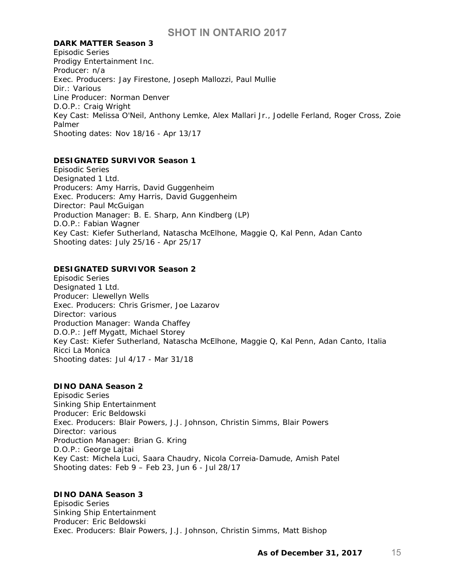#### **DARK MATTER Season 3**

Episodic Series Prodigy Entertainment Inc. Producer: n/a Exec. Producers: Jay Firestone, Joseph Mallozzi, Paul Mullie Dir.: Various Line Producer: Norman Denver D.O.P.: Craig Wright Key Cast: Melissa O'Neil, Anthony Lemke, Alex Mallari Jr., Jodelle Ferland, Roger Cross, Zoie Palmer Shooting dates: Nov 18/16 - Apr 13/17

## **DESIGNATED SURVIVOR Season 1**

Episodic Series Designated 1 Ltd. Producers: Amy Harris, David Guggenheim Exec. Producers: Amy Harris, David Guggenheim Director: Paul McGuigan Production Manager: B. E. Sharp, Ann Kindberg (LP) D.O.P.: Fabian Wagner Key Cast: Kiefer Sutherland, Natascha McElhone, Maggie Q, Kal Penn, Adan Canto Shooting dates: July 25/16 - Apr 25/17

## **DESIGNATED SURVIVOR Season 2**

Episodic Series Designated 1 Ltd. Producer: Llewellyn Wells Exec. Producers: Chris Grismer, Joe Lazarov Director: various Production Manager: Wanda Chaffey D.O.P.: Jeff Mygatt, Michael Storey Key Cast: Kiefer Sutherland, Natascha McElhone, Maggie Q, Kal Penn, Adan Canto, Italia Ricci La Monica Shooting dates: Jul 4/17 - Mar 31/18

### **DINO DANA Season 2**

Episodic Series Sinking Ship Entertainment Producer: Eric Beldowski Exec. Producers: Blair Powers, J.J. Johnson, Christin Simms, Blair Powers Director: various Production Manager: Brian G. Kring D.O.P.: George Lajtai Key Cast: Michela Luci, Saara Chaudry, Nicola Correia-Damude, Amish Patel Shooting dates: Feb 9 – Feb 23, Jun 6 - Jul 28/17

## **DINO DANA Season 3**

Episodic Series Sinking Ship Entertainment Producer: Eric Beldowski Exec. Producers: Blair Powers, J.J. Johnson, Christin Simms, Matt Bishop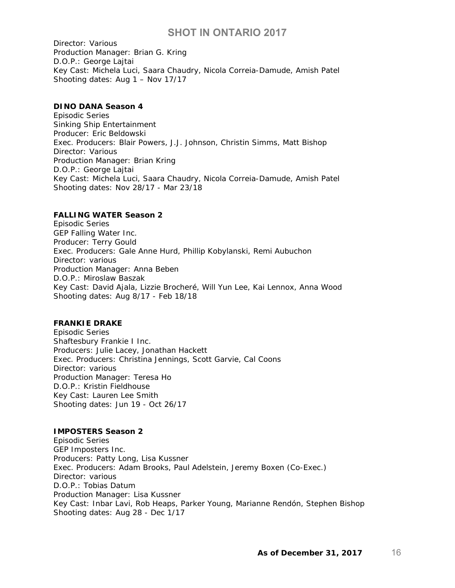Director: Various Production Manager: Brian G. Kring D.O.P.: George Lajtai Key Cast: Michela Luci, Saara Chaudry, Nicola Correia-Damude, Amish Patel Shooting dates: Aug 1 – Nov 17/17

### **DINO DANA Season 4**

Episodic Series Sinking Ship Entertainment Producer: Eric Beldowski Exec. Producers: Blair Powers, J.J. Johnson, Christin Simms, Matt Bishop Director: Various Production Manager: Brian Kring D.O.P.: George Lajtai Key Cast: Michela Luci, Saara Chaudry, Nicola Correia-Damude, Amish Patel Shooting dates: Nov 28/17 - Mar 23/18

### **FALLING WATER Season 2**

Episodic Series GEP Falling Water Inc. Producer: Terry Gould Exec. Producers: Gale Anne Hurd, Phillip Kobylanski, Remi Aubuchon Director: various Production Manager: Anna Beben D.O.P.: Miroslaw Baszak Key Cast: David Ajala, Lizzie Brocheré, Will Yun Lee, Kai Lennox, Anna Wood Shooting dates: Aug 8/17 - Feb 18/18

## **FRANKIE DRAKE**

Episodic Series Shaftesbury Frankie I Inc. Producers: Julie Lacey, Jonathan Hackett Exec. Producers: Christina Jennings, Scott Garvie, Cal Coons Director: various Production Manager: Teresa Ho D.O.P.: Kristin Fieldhouse Key Cast: Lauren Lee Smith Shooting dates: Jun 19 - Oct 26/17

#### **IMPOSTERS Season 2**

Episodic Series GEP Imposters Inc. Producers: Patty Long, Lisa Kussner Exec. Producers: Adam Brooks, Paul Adelstein, Jeremy Boxen (Co-Exec.) Director: various D.O.P.: Tobias Datum Production Manager: Lisa Kussner Key Cast: Inbar Lavi, Rob Heaps, Parker Young, Marianne Rendón, Stephen Bishop Shooting dates: Aug 28 - Dec 1/17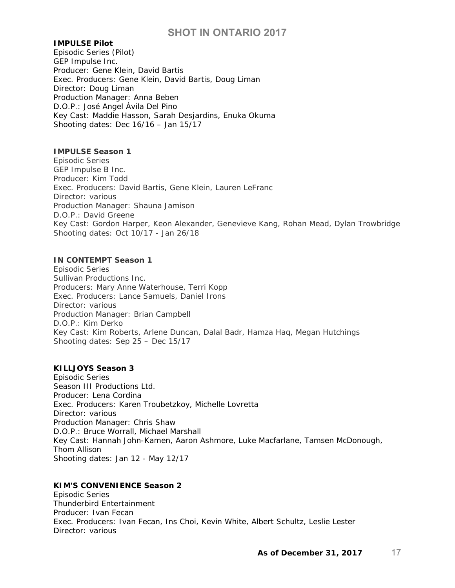#### **IMPULSE Pilot**

Episodic Series (Pilot) GEP Impulse Inc. Producer: Gene Klein, David Bartis Exec. Producers: Gene Klein, David Bartis, Doug Liman Director: Doug Liman Production Manager: Anna Beben D.O.P.: José Angel Ávila Del Pino Key Cast: Maddie Hasson, Sarah Desjardins, Enuka Okuma Shooting dates: Dec 16/16 – Jan 15/17

#### **IMPULSE Season 1**

Episodic Series GEP Impulse B Inc. Producer: Kim Todd Exec. Producers: David Bartis, Gene Klein, Lauren LeFranc Director: various Production Manager: Shauna Jamison D.O.P.: David Greene Key Cast: Gordon Harper, Keon Alexander, Genevieve Kang, Rohan Mead, Dylan Trowbridge Shooting dates: Oct 10/17 - Jan 26/18

### **IN CONTEMPT Season 1**

Episodic Series Sullivan Productions Inc. Producers: Mary Anne Waterhouse, Terri Kopp Exec. Producers: Lance Samuels, Daniel Irons Director: various Production Manager: Brian Campbell D.O.P.: Kim Derko Key Cast: Kim Roberts, Arlene Duncan, Dalal Badr, Hamza Haq, Megan Hutchings Shooting dates: Sep 25 – Dec 15/17

#### **KILLJOYS Season 3**

Episodic Series Season III Productions Ltd. Producer: Lena Cordina Exec. Producers: Karen Troubetzkoy, Michelle Lovretta Director: various Production Manager: Chris Shaw D.O.P.: Bruce Worrall, Michael Marshall Key Cast: Hannah John-Kamen, Aaron Ashmore, Luke Macfarlane, Tamsen McDonough, Thom Allison Shooting dates: Jan 12 - May 12/17

## **KIM'S CONVENIENCE Season 2**

Episodic Series Thunderbird Entertainment Producer: Ivan Fecan Exec. Producers: Ivan Fecan, Ins Choi, Kevin White, Albert Schultz, Leslie Lester Director: various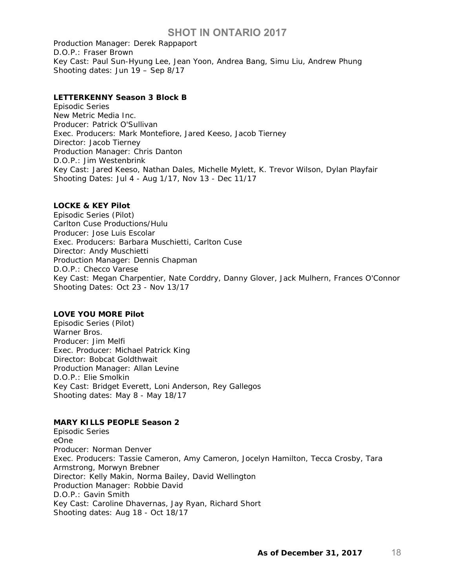Production Manager: Derek Rappaport D.O.P.: Fraser Brown Key Cast: Paul Sun-Hyung Lee, Jean Yoon, Andrea Bang, Simu Liu, Andrew Phung Shooting dates: Jun 19 – Sep 8/17

### **LETTERKENNY Season 3 Block B**

Episodic Series New Metric Media Inc. Producer: Patrick O'Sullivan Exec. Producers: Mark Montefiore, Jared Keeso, Jacob Tierney Director: Jacob Tierney Production Manager: Chris Danton D.O.P.: Jim Westenbrink Key Cast: Jared Keeso, Nathan Dales, Michelle Mylett, K. Trevor Wilson, Dylan Playfair Shooting Dates: Jul 4 - Aug 1/17, Nov 13 - Dec 11/17

### **LOCKE & KEY Pilot**

Episodic Series (Pilot) Carlton Cuse Productions/Hulu Producer: Jose Luis Escolar Exec. Producers: Barbara Muschietti, Carlton Cuse Director: Andy Muschietti Production Manager: Dennis Chapman D.O.P.: Checco Varese Key Cast: Megan Charpentier, Nate Corddry, Danny Glover, Jack Mulhern, Frances O'Connor Shooting Dates: Oct 23 - Nov 13/17

## **LOVE YOU MORE Pilot**

Episodic Series (Pilot) Warner Bros. Producer: Jim Melfi Exec. Producer: Michael Patrick King Director: Bobcat Goldthwait Production Manager: Allan Levine D.O.P.: Elie Smolkin Key Cast: Bridget Everett, Loni Anderson, Rey Gallegos Shooting dates: May 8 - May 18/17

## **MARY KILLS PEOPLE Season 2**

Episodic Series eOne Producer: Norman Denver Exec. Producers: Tassie Cameron, Amy Cameron, Jocelyn Hamilton, Tecca Crosby, Tara Armstrong, Morwyn Brebner Director: Kelly Makin, Norma Bailey, David Wellington Production Manager: Robbie David D.O.P.: Gavin Smith Key Cast: Caroline Dhavernas, Jay Ryan, Richard Short Shooting dates: Aug 18 - Oct 18/17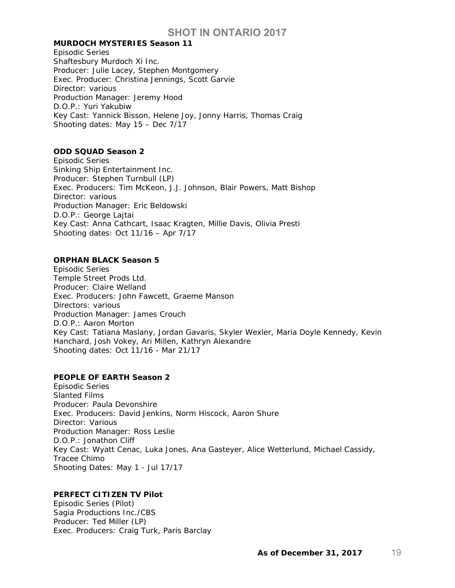#### **MURDOCH MYSTERIES Season 11**

Episodic Series Shaftesbury Murdoch Xi Inc. Producer: Julie Lacey, Stephen Montgomery Exec. Producer: Christina Jennings, Scott Garvie Director: various Production Manager: Jeremy Hood D.O.P.: Yuri Yakubiw Key Cast: Yannick Bisson, Helene Joy, Jonny Harris, Thomas Craig Shooting dates: May 15 – Dec 7/17

### **ODD SQUAD Season 2**

Episodic Series Sinking Ship Entertainment Inc. Producer: Stephen Turnbull (LP) Exec. Producers: Tim McKeon, J.J. Johnson, Blair Powers, Matt Bishop Director: various Production Manager: Eric Beldowski D.O.P.: George Lajtai Key Cast: Anna Cathcart, Isaac Kragten, Millie Davis, Olivia Presti Shooting dates: Oct 11/16 – Apr 7/17

#### **ORPHAN BLACK Season 5**

Episodic Series Temple Street Prods Ltd. Producer: Claire Welland Exec. Producers: John Fawcett, Graeme Manson Directors: various Production Manager: James Crouch D.O.P.: Aaron Morton Key Cast: Tatiana Maslany, Jordan Gavaris, Skyler Wexler, Maria Doyle Kennedy, Kevin Hanchard, Josh Vokey, Ari Millen, Kathryn Alexandre Shooting dates: Oct 11/16 - Mar 21/17

## **PEOPLE OF EARTH Season 2**

Episodic Series Slanted Films Producer: Paula Devonshire Exec. Producers: David Jenkins, Norm Hiscock, Aaron Shure Director: Various Production Manager: Ross Leslie D.O.P.: Jonathon Cliff Key Cast: Wyatt Cenac, Luka Jones, Ana Gasteyer, Alice Wetterlund, Michael Cassidy, Tracee Chimo Shooting Dates: May 1 - Jul 17/17

## **PERFECT CITIZEN TV Pilot**

Episodic Series (Pilot) Sagia Productions Inc./CBS Producer: Ted Miller (LP) Exec. Producers: Craig Turk, Paris Barclay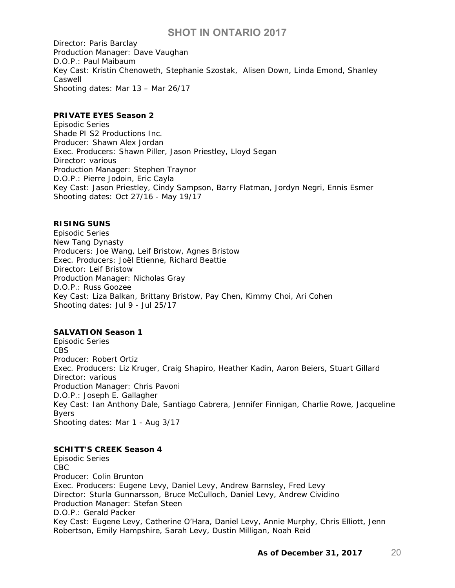Director: Paris Barclay Production Manager: Dave Vaughan D.O.P.: Paul Maibaum Key Cast: Kristin Chenoweth, Stephanie Szostak, Alisen Down, Linda Emond, Shanley Caswell Shooting dates: Mar 13 – Mar 26/17

## **PRIVATE EYES Season 2**

Episodic Series Shade PI S2 Productions Inc. Producer: Shawn Alex Jordan Exec. Producers: Shawn Piller, Jason Priestley, Lloyd Segan Director: various Production Manager: Stephen Traynor D.O.P.: Pierre Jodoin, Eric Cayla Key Cast: Jason Priestley, Cindy Sampson, Barry Flatman, Jordyn Negri, Ennis Esmer Shooting dates: Oct 27/16 - May 19/17

## **RISING SUNS**

Episodic Series New Tang Dynasty Producers: Joe Wang, Leif Bristow, Agnes Bristow Exec. Producers: Joël Etienne, Richard Beattie Director: Leif Bristow Production Manager: Nicholas Gray D.O.P.: Russ Goozee Key Cast: Liza Balkan, Brittany Bristow, Pay Chen, Kimmy Choi, Ari Cohen Shooting dates: Jul 9 - Jul 25/17

## **SALVATION Season 1**

Episodic Series CBS Producer: Robert Ortiz Exec. Producers: Liz Kruger, Craig Shapiro, Heather Kadin, Aaron Beiers, Stuart Gillard Director: various Production Manager: Chris Pavoni D.O.P.: Joseph E. Gallagher Key Cast: Ian Anthony Dale, Santiago Cabrera, Jennifer Finnigan, Charlie Rowe, Jacqueline Byers Shooting dates: Mar 1 - Aug 3/17

## **SCHITT'S CREEK Season 4**

Episodic Series CBC Producer: Colin Brunton Exec. Producers: Eugene Levy, Daniel Levy, Andrew Barnsley, Fred Levy Director: Sturla Gunnarsson, Bruce McCulloch, Daniel Levy, Andrew Cividino Production Manager: Stefan Steen D.O.P.: Gerald Packer Key Cast: Eugene Levy, Catherine O'Hara, Daniel Levy, Annie Murphy, Chris Elliott, Jenn Robertson, Emily Hampshire, Sarah Levy, Dustin Milligan, Noah Reid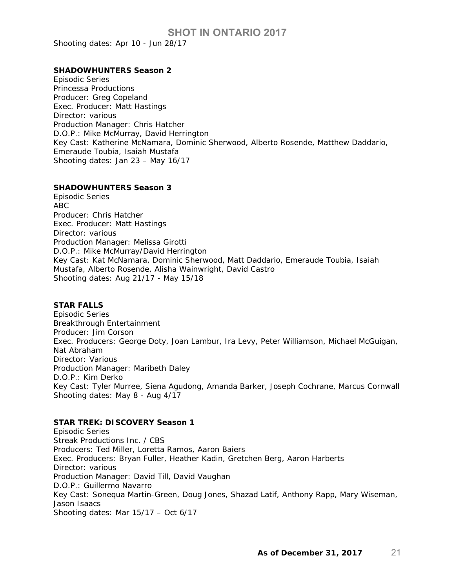Shooting dates: Apr 10 - Jun 28/17

#### **SHADOWHUNTERS Season 2**

Episodic Series Princessa Productions Producer: Greg Copeland Exec. Producer: Matt Hastings Director: various Production Manager: Chris Hatcher D.O.P.: Mike McMurray, David Herrington Key Cast: Katherine McNamara, Dominic Sherwood, Alberto Rosende, Matthew Daddario, Emeraude Toubia, Isaiah Mustafa Shooting dates: Jan 23 – May 16/17

#### **SHADOWHUNTERS Season 3**

Episodic Series ABC Producer: Chris Hatcher Exec. Producer: Matt Hastings Director: various Production Manager: Melissa Girotti D.O.P.: Mike McMurray/David Herrington Key Cast: Kat McNamara, Dominic Sherwood, Matt Daddario, Emeraude Toubia, Isaiah Mustafa, Alberto Rosende, Alisha Wainwright, David Castro Shooting dates: Aug 21/17 - May 15/18

#### **STAR FALLS**

Episodic Series Breakthrough Entertainment Producer: Jim Corson Exec. Producers: George Doty, Joan Lambur, Ira Levy, Peter Williamson, Michael McGuigan, Nat Abraham Director: Various Production Manager: Maribeth Daley D.O.P.: Kim Derko Key Cast: Tyler Murree, Siena Agudong, Amanda Barker, Joseph Cochrane, Marcus Cornwall Shooting dates: May 8 - Aug 4/17

### **STAR TREK: DISCOVERY Season 1**

Episodic Series Streak Productions Inc. / CBS Producers: Ted Miller, Loretta Ramos, Aaron Baiers Exec. Producers: Bryan Fuller, Heather Kadin, Gretchen Berg, Aaron Harberts Director: various Production Manager: David Till, David Vaughan D.O.P.: Guillermo Navarro Key Cast: Sonequa Martin-Green, Doug Jones, Shazad Latif, Anthony Rapp, Mary Wiseman, Jason Isaacs Shooting dates: Mar 15/17 – Oct 6/17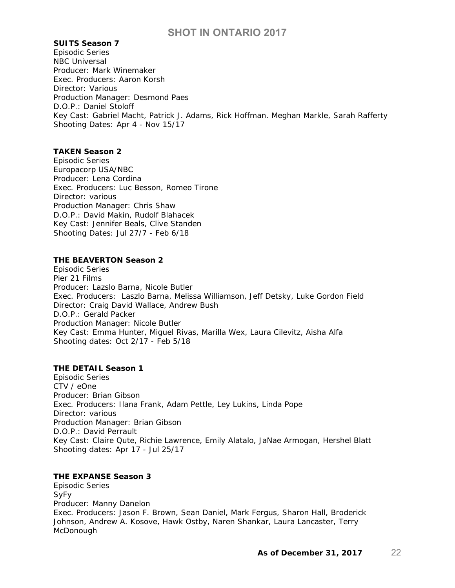#### **SUITS Season 7**

Episodic Series NBC Universal Producer: Mark Winemaker Exec. Producers: Aaron Korsh Director: Various Production Manager: Desmond Paes D.O.P.: Daniel Stoloff Key Cast: Gabriel Macht, Patrick J. Adams, Rick Hoffman. Meghan Markle, Sarah Rafferty Shooting Dates: Apr 4 - Nov 15/17

## **TAKEN Season 2**

Episodic Series Europacorp USA/NBC Producer: Lena Cordina Exec. Producers: Luc Besson, Romeo Tirone Director: various Production Manager: Chris Shaw D.O.P.: David Makin, Rudolf Blahacek Key Cast: Jennifer Beals, Clive Standen Shooting Dates: Jul 27/7 - Feb 6/18

#### **THE BEAVERTON Season 2**

Episodic Series Pier 21 Films Producer: Lazslo Barna, Nicole Butler Exec. Producers: Laszlo Barna, Melissa Williamson, Jeff Detsky, Luke Gordon Field Director: Craig David Wallace, Andrew Bush D.O.P.: Gerald Packer Production Manager: Nicole Butler Key Cast: Emma Hunter, Miguel Rivas, Marilla Wex, Laura Cilevitz, Aisha Alfa Shooting dates: Oct 2/17 - Feb 5/18

## **THE DETAIL Season 1**

Episodic Series CTV / eOne Producer: Brian Gibson Exec. Producers: Ilana Frank, Adam Pettle, Ley Lukins, Linda Pope Director: various Production Manager: Brian Gibson D.O.P.: David Perrault Key Cast: Claire Qute, Richie Lawrence, Emily Alatalo, JaNae Armogan, Hershel Blatt Shooting dates: Apr 17 - Jul 25/17

### **THE EXPANSE Season 3**

Episodic Series SyFy Producer: Manny Danelon Exec. Producers: Jason F. Brown, Sean Daniel, Mark Fergus, Sharon Hall, Broderick Johnson, Andrew A. Kosove, Hawk Ostby, Naren Shankar, Laura Lancaster, Terry McDonough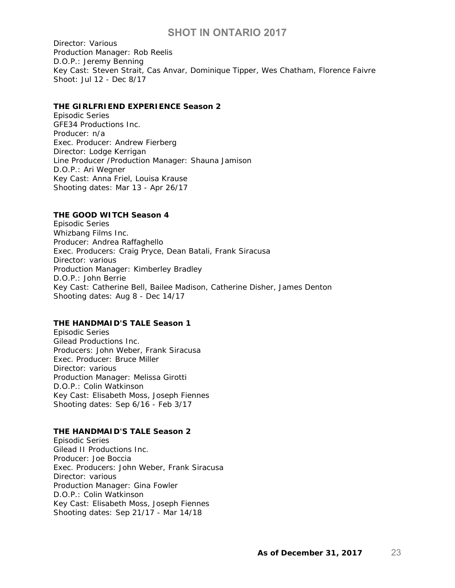Director: Various Production Manager: Rob Reelis D.O.P.: Jeremy Benning Key Cast: Steven Strait, Cas Anvar, Dominique Tipper, Wes Chatham, Florence Faivre Shoot: Jul 12 - Dec 8/17

#### **THE GIRLFRIEND EXPERIENCE Season 2**

Episodic Series GFE34 Productions Inc. Producer: n/a Exec. Producer: Andrew Fierberg Director: Lodge Kerrigan Line Producer /Production Manager: Shauna Jamison D.O.P.: Ari Wegner Key Cast: Anna Friel, Louisa Krause Shooting dates: Mar 13 - Apr 26/17

#### **THE GOOD WITCH Season 4**

Episodic Series Whizbang Films Inc. Producer: Andrea Raffaghello Exec. Producers: Craig Pryce, Dean Batali, Frank Siracusa Director: various Production Manager: Kimberley Bradley D.O.P.: John Berrie Key Cast: Catherine Bell, Bailee Madison, Catherine Disher, James Denton Shooting dates: Aug 8 - Dec 14/17

#### **THE HANDMAID'S TALE Season 1**

Episodic Series Gilead Productions Inc. Producers: John Weber, Frank Siracusa Exec. Producer: Bruce Miller Director: various Production Manager: Melissa Girotti D.O.P.: Colin Watkinson Key Cast: Elisabeth Moss, Joseph Fiennes Shooting dates: Sep 6/16 - Feb 3/17

#### **THE HANDMAID'S TALE Season 2**

Episodic Series Gilead II Productions Inc. Producer: Joe Boccia Exec. Producers: John Weber, Frank Siracusa Director: various Production Manager: Gina Fowler D.O.P.: Colin Watkinson Key Cast: Elisabeth Moss, Joseph Fiennes Shooting dates: Sep 21/17 - Mar 14/18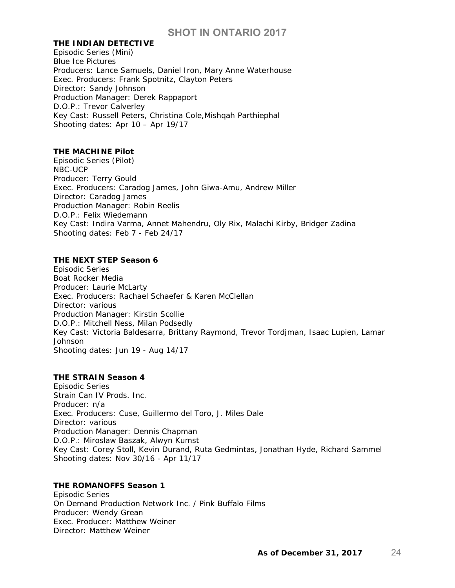#### **THE INDIAN DETECTIVE**

Episodic Series (Mini) Blue Ice Pictures Producers: Lance Samuels, Daniel Iron, Mary Anne Waterhouse Exec. Producers: Frank Spotnitz, Clayton Peters Director: Sandy Johnson Production Manager: Derek Rappaport D.O.P.: Trevor Calverley Key Cast: Russell Peters, Christina Cole,Mishqah Parthiephal Shooting dates: Apr 10 – Apr 19/17

#### **THE MACHINE Pilot**

Episodic Series (Pilot) NBC-UCP Producer: Terry Gould Exec. Producers: Caradog James, John Giwa-Amu, Andrew Miller Director: Caradog James Production Manager: Robin Reelis D.O.P.: Felix Wiedemann Key Cast: Indira Varma, Annet Mahendru, Oly Rix, Malachi Kirby, Bridger Zadina Shooting dates: Feb 7 - Feb 24/17

#### **THE NEXT STEP Season 6**

Episodic Series Boat Rocker Media Producer: Laurie McLarty Exec. Producers: Rachael Schaefer & Karen McClellan Director: various Production Manager: Kirstin Scollie D.O.P.: Mitchell Ness, Milan Podsedly Key Cast: Victoria Baldesarra, Brittany Raymond, Trevor Tordjman, Isaac Lupien, Lamar Johnson Shooting dates: Jun 19 - Aug 14/17

#### **THE STRAIN Season 4**

Episodic Series Strain Can IV Prods. Inc. Producer: n/a Exec. Producers: Cuse, Guillermo del Toro, J. Miles Dale Director: various Production Manager: Dennis Chapman D.O.P.: Miroslaw Baszak, Alwyn Kumst Key Cast: Corey Stoll, Kevin Durand, Ruta Gedmintas, Jonathan Hyde, Richard Sammel Shooting dates: Nov 30/16 - Apr 11/17

## **THE ROMANOFFS Season 1**

Episodic Series On Demand Production Network Inc. / Pink Buffalo Films Producer: Wendy Grean Exec. Producer: Matthew Weiner Director: Matthew Weiner